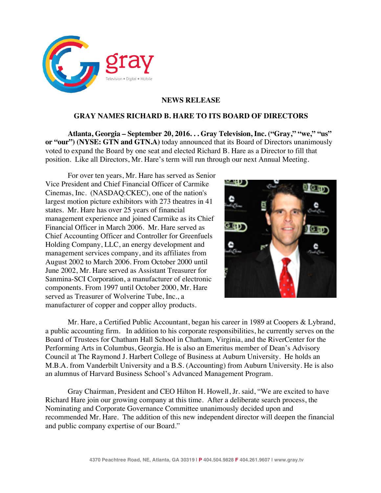

## **NEWS RELEASE**

## **GRAY NAMES RICHARD B. HARE TO ITS BOARD OF DIRECTORS**

**Atlanta, Georgia – September 20, 2016. . . Gray Television, Inc. ("Gray," "we," "us" or "our") (NYSE: GTN and GTN.A)** today announced that its Board of Directors unanimously voted to expand the Board by one seat and elected Richard B. Hare as a Director to fill that position. Like all Directors, Mr. Hare's term will run through our next Annual Meeting.

For over ten years, Mr. Hare has served as Senior Vice President and Chief Financial Officer of Carmike Cinemas, Inc. (NASDAQ:CKEC), one of the nation's largest motion picture exhibitors with 273 theatres in 41 states. Mr. Hare has over 25 years of financial management experience and joined Carmike as its Chief Financial Officer in March 2006. Mr. Hare served as Chief Accounting Officer and Controller for Greenfuels Holding Company, LLC, an energy development and management services company, and its affiliates from August 2002 to March 2006. From October 2000 until June 2002, Mr. Hare served as Assistant Treasurer for Sanmina-SCI Corporation, a manufacturer of electronic components. From 1997 until October 2000, Mr. Hare served as Treasurer of Wolverine Tube, Inc., a manufacturer of copper and copper alloy products.



Mr. Hare, a Certified Public Accountant, began his career in 1989 at Coopers & Lybrand, a public accounting firm. In addition to his corporate responsibilities, he currently serves on the Board of Trustees for Chatham Hall School in Chatham, Virginia, and the RiverCenter for the Performing Arts in Columbus, Georgia. He is also an Emeritus member of Dean's Advisory Council at The Raymond J. Harbert College of Business at Auburn University. He holds an M.B.A. from Vanderbilt University and a B.S. (Accounting) from Auburn University. He is also an alumnus of Harvard Business School's Advanced Management Program.

Gray Chairman, President and CEO Hilton H. Howell, Jr. said, "We are excited to have Richard Hare join our growing company at this time. After a deliberate search process, the Nominating and Corporate Governance Committee unanimously decided upon and recommended Mr. Hare. The addition of this new independent director will deepen the financial and public company expertise of our Board."